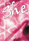

 $\boldsymbol{O}$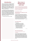# *Introduction*

Have you ever paged through a magazine and wished that you could be like one of the interesting, beautiful, and talented women described in the articles? You read about their thoughts and opinions, their taste in music, their favourite food, the books they love to read, their achievements, and how they manage to rise above difficult circumstances. You see the clothes they wear, the way they decorate their homes, and you delight in their lifestyle. And involuntarily you think: This is the picture of perfection—I want to be like her.

In this booklet, you are invited to page through the Bible and discover the stories it tells about special women. Women play an important role throughout the Bible. Some lived in close relationship with God, while others turned their backs on Him. Sometimes they wrestled with God. They were women of different dimensions, multi-faceted and unique, women in varying circumstances of life. And God was at work in their lives. Between the pages of God's wonderful Word, you will discover: That is me! I am she! And God is at work in my life, too!

Come along and meet the women in the Bible.

# *She Lives in Relationship with God*

**This is the most important dimension of womanhood. She lives in a unique faith relationship with God. She really loves the Lord and seeks his will for her life. However, she sometimes strays.**

**And you discover: I am she!**

# **She loves the Lord very deeply; He is at the centre of her life**

As Jesus sat near the temple treasury, he watched the people as they dropped in their money. Many rich men dropped in a lot of money; then a poor widow came along and dropped in two little copper coins, worth about a penny. He called his disciples together and said to them, "I tell you that this poor widow put more in the offering box than all the others. For the others put in what they had to spare of their riches; but she, poor as she is, put in all she had—she gave all she had to live on."

[Mark 12:41-44](http://www.bibles.co.za/search/search-detail.php?prev=-2&book=MRK&chapter=12&version=6&GO=Show)

# **She studies the Word**

Happy are those

who reject the advice of evil people, who do not follow the example of sinners or join those who have no use for God. Instead, they find joy in obeying the Law of the Lord, and they study it day and night. They are like trees that grow beside a stream, that bear fruit at the right time, and whose leaves do not dry up. They succeed in everything they do.

[Psalm 1:1-3](http://www.bibles.co.za/search/search-detail.php?prev=-3&book=PSA&chapter=1&version=6&GO=Show)

#### **She is serious about prayer**

#### Hannah prayed earnestly to the LORD about her childlessness:

One day, after they had finished their meal in the house of the Lorp at Shiloh, Hannah got up. She was deeply distressed, and she cried bitterly as she prayed to the LORD. Meanwhile, Eli the priest was sitting in his place by the door. Hannah made a solemn promise: "Almighty Lorp, look at me, your servant! See my trouble and remember me! Don't forget me! If you give me a son, I promise that I will dedicate him to you for his whole life and that he will never have his hair cut."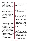Hannah continued to pray to the Lorp for a long time, and Eli watched her lips. She was praying silently; her lips were moving, but she made no sound. So Eli thought that she was drunk, and said to her, "Stop making a drunken show of yourself! Stop your drinking and sober up!"

"No, I'm not drunk, sir," she answered. "I haven't been drinking! I am desperate, and I have been praying, pouring out my troubles to the Lorp. Don't think I am a worthless woman. I have been praying like this because I'm so miserable."

[1 Samuel 1:9-16](http://www.bibles.co.za/search/search-detail.php?prev=-4&book=1SA&chapter=1&version=6&GO=Show)

# **She sits at the feet of the Lord to listen**

As Jesus and his disciples went on their way, he came to a village where a woman named Martha welcomed him in her home. She had a sister named Mary, who sat down at the feet of the Lord and listened to his teaching. Martha was upset over all the work she had to do, so she came and said, "Lord, don't you care that my sister has left me to do all the work by myself? Tell her to come and help me!"

The Lord answered her, "Martha, Martha! You are worried and troubled over so many things, but just one is needed. Mary has chosen the right thing, and it will not be taken away from her."

[Luke 10:38-42](http://www.bibles.co.za/search/search-detail.php?prev=-6&book=LUK&chapter=10&version=6&GO=Show)

#### **She submits to God's will for her life**

Sometimes she wrestles with God's will for her life, but she also submits herself to it, realising that He knows best.

In the sixth month of Elizabeth's pregnancy God sent the angel Gabriel to a town in Galilee named Nazareth. He had a message for a young woman promised in marriage to a man named Joseph, who was a descendant of King David. Her name was Mary. The angel came to her and said, "Peace be with you! The Lord is with you and has greatly blessed you!"

Mary was deeply troubled by the angel's message, and she wondered what his words meant. The angel said to her, "Don't be afraid, Mary; God has been gracious to you. You will become pregnant and give birth to a son, and you will name him Jesus. He will be great and will be called the Son of the Most High God. The Lord God will make him a king, as his ancestor David was, and he will be the king of the descendants of Jacob for ever; his kingdom will never end!"

Mary said to the angel, "I am a virgin. How, then, can this be?"

The angel answered, "The Holy Spirit will come on you, and God's power will rest upon you. For this reason the holy child will be called the Son of God. Remember your relative Elizabeth. It is said that she cannot have children, but she herself is now six months pregnant, even though she is very old. For there is nothing that God cannot do."

"I am the Lord's servant," said Mary; "may it happen to me as you have said." And the angel left her.

[Luke 1:26-38](http://www.bibles.co.za/search/search-detail.php?prev=-7&book=LUK&chapter=1&version=6&GO=Show)

### **She dedicates her life to the Lord**

There was a very old prophet, a widow named Anna, daughter of Phanuel of the tribe of Asher. She had been married for only seven years and was now eighty-four years old. She never left the Temple; day and night she worshipped God, fasting and praying.

[Luke 2:36-37](http://www.bibles.co.za/search/search-detail.php?prev=-8&book=LUK&chapter=2&version=6&GO=Show)

#### **She serves the Lord with gladness**

The prophet Miriam, Aaron's sister, took her tambourine, and all the women followed her, playing tambourines and dancing. Miriam sang for them:

"Sing to the Lord, because he has won a glorious victory."

[Exodus 15:20-21a](http://www.bibles.co.za/search/search-detail.php?prev=-9&book=EXO&chapter=15&version=6&GO=Show)

#### **She looks to Jesus for strength**

There was a woman who had suffered terribly from severe bleeding for twelve years, even though she had been treated by many doctors. She had spent all her money, but instead of getting better she got worse all the time. She had heard about Jesus, so she came in the crowd behind him, saying to herself, "If I just touch his clothes, I will get well."

She touched his cloak, and her bleeding stopped at once; and she had the feeling inside herself that she was healed of her trouble. At once Jesus knew that power had gone out of him, so he turned round in the crowd and asked, "Who touched my clothes?"

His disciples answered, "You see how the people are crowding you; why do you ask who touched you?"

But Jesus kept looking round to see who had done it. The woman realised what had happened to her, so she came, trembling with fear, knelt at his feet, and told him the whole truth. Jesus said to her, "My daughter, your faith has made you well. Go in peace, and be healed of your trouble."

[Mark 5:25-34](http://www.bibles.co.za/search/search-detail.php?prev=-10&book=MRK&chapter=5&version=6&GO=Show)

#### **She leaves her worries with the Lord**

"This is why I tell you not to be worried about the food and drink you need in order to stay alive, or about clothes for your body. After all, isn't life worth more than food? And isn't the body worth more than clothes? Look at the birds: they do not sow seeds, gather a harvest and put it in barns; yet your Father in heaven takes care of them! Aren't you worth much more than birds? Can any of you live a bit longer by worrying about it?

"And why worry about clothes? Look how the wild flowers grow: they do not work or make clothes for themselves. But I tell you that not even King Solomon with all his wealth had clothes as beautiful as one of these flowers. It is God who clothes the wild grass—grass that is here today and gone tomorrow, burnt up in the oven. Won't he be all the more sure to clothe you? How little faith you have!

"So do not start worrying: 'Where will my food come from? or my drink? or my clothes?' (These are the things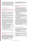the pagans are always concerned about.) Your Father in heaven knows that you need all these things. Instead, be concerned above everything else with the Kingdom of God and with what he requires of you, and he will provide you with all these other things. So do not worry about tomorrow; it will have enough worries of its own. There is no need to add to the troubles each day brings."

[Matthew 6:25-34](http://www.bibles.co.za/search/search-detail.php?prev=-11&book=MAT&chapter=6&version=6&GO=Show)

# **Sometimes she stumbles ...**

Sometimes she makes a mistake, which causes her to want to hide from God. Then, when her mistake comes to light, she tries to shift the blame onto someone else. That was the case with Eve:

Now the snake was the most cunning animal that the LORD God had made. The snake asked the woman, "Did God really tell you not to eat fruit from any tree in the garden?"

"We may eat the fruit of any tree in the garden," the woman answered, "except the tree in the middle of it. God told us not to eat the fruit of that tree or even touch it; if we do, we will die."

The snake replied, "That's not true; you will not die. God said that, because he knows that when you eat it you will be like God and know what is good and what is bad."

The woman saw how beautiful the tree was and how good its fruit would be to eat, and she thought how wonderful it would be to become wise. So she took some of the fruit and ate it. Then she gave some to her husband, and he also ate it. As soon as they had eaten it, they were given understanding and realised that they were naked; so they sewed fig leaves together and covered themselves.

That evening they heard the LORD God walking in the garden, and they hid from him among the trees. But the LORD God called out to the man, "Where are you?"

He answered, "I heard you in the garden; I was afraid and hid from you, because I was naked."

"Who told you that you were naked?" God asked. "Did you eat the fruit that I told you not to eat?"

The man answered, "The woman you put here with me gave me the fruit, and I ate it."

The Lord God asked the woman, "Why did you do this?"

She replied, "The snake tricked me into eating it."

[Genesis 3:1-13](http://www.bibles.co.za/search/search-detail.php?prev=-12&book=GEN&chapter=3&version=6&GO=Show)

Sometimes she does not trust the Lord but rather does as she thinks right ... and regrets it in the end. Like Sarai, who said to Abram:

"The Lord has kept me from having children. Why don't you sleep with my slave? Perhaps she can have a child for me." Abram agreed with what Sarai said. So she gave Hagar to him to be his concubine. (This happened after Abram had lived in Canaan for ten years.) Abram had intercourse with Hagar, and she became pregnant. When she found out that she was pregnant, she became proud and despised Sarai.

Then Sarai said to Abram, "It's your fault that Hagar

despises me. I myself gave her to you, and ever since she found out that she was pregnant, she has despised me. May the Lorp judge which of us is right, you or me!"

[Genesis 16:2-5](http://www.bibles.co.za/search/search-detail.php?prev=-13&book=GEN&chapter=16&version=6&GO=Show)

#### **She comes to the Lord and experiences his forgiveness**

In that town was a woman who lived a sinful life. She heard that Jesus was eating in the Pharisee's house, so she brought an alabaster jar full of perfume and stood behind Jesus, by his feet, crying and wetting his feet with her tears. Then she dried his feet with her hair, kissed them, and poured the perfume on them. When the Pharisee saw this, he said to himself, "If this man really were a prophet, he would know who this woman is who is touching him; he would know what kind of sinful life she lives!"

Jesus spoke up and said to him, "Simon, I have something to tell you."

"Yes, Teacher," he said, "tell me."

"There were two men who owed money to a moneylender," Jesus began. "One owed him five hundred silver coins, and the other owed him fifty. Neither of them could pay him back, so he cancelled the debts of both. Which one, then, will love him more?"

"I suppose," answered Simon, "that it would be the one who was forgiven more."

"You are right," said Jesus. Then he turned to the woman and said to Simon, "Do you see this woman? I came into your home, and you gave me no water for my feet, but she has washed my feet with her tears and dried them with her hair. You did not welcome me with a kiss, but she has not stopped kissing my feet since I came. You provided no oliveoil for my head, but she has covered my feet with perfume. I tell you, then, the great love she has shown proves that her many sins have been forgiven. But whoever has been forgiven little shows only a little love."

Then Jesus said to the woman, "Your sins are forgiven." [Luke 7:37-48](http://www.bibles.co.za/search/search-detail.php?prev=-14&book=LUK&chapter=7&version=6&GO=Show)

#### **She lives in hope for the future**

When Martha heard that Jesus was coming, she went out to meet him, but Mary stayed in the house. Martha said to Jesus, "If you had been here, Lord, my brother would not have died! But I know that even now God will give you whatever you ask him for."

"Your brother will rise to life," Jesus told her.

"I know," she replied, "that he will rise to life on the last day."

Jesus said to her, "I am the resurrection and the life. Those who believe in me will live, even though they die; and all those who live and believe in me will never die. Do you believe this?"

"Yes, Lord!" she answered. "I do believe that you are the Messiah, the Son of God, who was to come into the world."

[John 11:20-27](http://www.bibles.co.za/search/search-detail.php?prev=-15&book=JHN&chapter=11&version=6&GO=Show)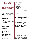# *She Lives in Relationship with Others*

**She does not live in isolation. She lives in community with others. Each of the relationships which she has is unique and makes specific demands on her.**

**And you discover: I am she!**

## **She is good to others**

In Joppa there was a woman named Tabitha, who was a believer. (Her name in Greek is Dorcas, meaning "a deer".) She spent all her time doing good and helping the poor.

[Acts 9:36](http://www.bibles.co.za/search/search-detail.php?prev=-16&book=ACT&chapter=9&version=6&GO=Show)

#### **She is a wife**

#### **She is one with her husband**

Jesus answered, "Haven't you read the Scripture that says that in the beginning the Creator made people male and female? And God said, 'For this reason a man will leave his father and mother and unite with his wife, and the two will become one.' So they are no longer two, but one. No human being must separate, then, what God has joined together."

[Matthew 19:4-6](http://www.bibles.co.za/search/search-detail.php?prev=-17&book=MAT&chapter=19&version=6&GO=Show)

#### **She is beautiful to him**

How beautiful you are, my love; how your eyes shine with love!

[Song of songs 1:15](http://www.bibles.co.za/search/search-detail.php?prev=-18&book=SNG&chapter=1&version=6&GO=Show)

#### **She loves him very much**

My lover is mine, and I am his. He feeds his flock among the lilies until the morning breezes blow and the darkness disappears. Return, my darling, like a gazelle, like a stag on the mountains of Bether. Asleep on my bed, night after night I dreamt of the one I love; I was looking for him, but couldn't find him. I went wandering through the city, through its streets and alleys. I looked for the one I love. I looked, but couldn't find him. The watchmen patrolling the city saw me. I asked them, "Have you found my lover?" As soon as I left them, I found him. I held him and wouldn't let him go

until I took him to my mother's house, to the room where I was born.

[Song of songs 2:16-3:4](http://www.bibles.co.za/search/search-detail.php?prev=-19&book=SNG&chapter=2&version=6&GO=Show)

#### **She compliments him**

His thighs are columns of alabaster set in sockets of gold. He is majestic, like the Lebanon Mountains with their towering cedars. His mouth is sweet to kiss; everything about him enchants me. This is what my lover is like, women of Jerusalem.

[Song of songs 5:15-16](http://www.bibles.co.za/search/search-detail.php?prev=-20&book=SNG&chapter=5&version=6&GO=Show)

#### **She is faithful to him**

Marriage is to be honoured by all, and husbands and wives must be faithful to each other. God will judge those who are immoral and those who commit adultery.

[Hebrews 13:4](http://www.bibles.co.za/search/search-detail.php?prev=-21&book=HEB&chapter=13&version=6&GO=Show)

#### **She needs his love**

Leah became pregnant and gave birth to a son. She said, "The Lord has seen my trouble, and now my husband will love me"; so she named him Reuben.

[Genesis 29:32](http://www.bibles.co.za/search/search-detail.php?prev=-22&book=GEN&chapter=29&version=6&GO=Show)

#### **She fulfils her duty as a wife**

A man should fulfil his duty as a husband, and a woman should fulfil her duty as a wife, and each should satisfy the other's needs. A wife is not the master of her own body, but her husband is; in the same way a husband is not the master of his own body, but his wife is. Do not deny yourselves to each other, unless you first agree to do so for a while in order to spend your time in prayer; but then resume normal marital relations. In this way you will be kept from giving in to Satan's temptation because of your lack of self-control.

[1 Corinthians 7:3-5](http://www.bibles.co.za/search/search-detail.php?prev=-23&book=1CO&chapter=7&version=6&GO=Show)

#### **She is a mother**

#### **She recognises her children as gifts**

Children are a gift from the LORD; they are a real blessing.

[Psalm 127:3](http://www.bibles.co.za/search/search-detail.php?prev=-24&book=PSA&chapter=127&version=6&GO=Show)

#### **She loves her children unconditionally**

One day two prostitutes came and presented themselves before King Solomon. One of them said, "Your Majesty, this woman and I live in the same house, and I gave birth to a baby boy at home while she was there. Two days after my child was born she also gave birth to a baby boy. Only the two of us were there in the house—no one else was present. Then one night she accidentally rolled over on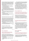her baby and smothered it. She got up during the night, took my son from my side while I was asleep, and carried him to her bed; then she put the dead child in my bed. The next morning, when I woke up and was going to feed my baby, I saw that it was dead. I looked at it more closely and saw that it was not my child."

But the other woman said, "No! The living child is mine, and the dead one is yours!"

The first woman answered, "No! The dead child is yours, and the living one is mine!"

And so they argued before the king.

Then King Solomon said, "Each of you claims that the living child is hers and that the dead child belongs to the other one." He sent for a sword, and when it was brought, he said, "Cut the living child in two and give each woman half of it."

The real mother, her heart full of love for her son, said to the king, "Please, Your Majesty, don't kill the child! Give it to her!"

But the other woman said, "Don't give it to either of us; go ahead and cut it in two."

Then Solomon said, "Don't kill the child! Give it to the first woman—she is its real mother."

[1 Kings 3:16-27](http://www.bibles.co.za/search/search-detail.php?prev=-25&book=1KI&chapter=3&version=6&GO=Show)

#### **She asks God to teach her how to raise her children**

Then the woman went and said to her husband, "A man of God has come to me, and he looked as frightening as the angel of God. I didn't ask him where he came from, and he didn't tell me his name. But he did tell me that I would become pregnant and have a son. He told me not to drink any wine or beer, or eat any forbidden food, because the boy is to be dedicated to God as a nazirite as long as he lives."

Then Manoah prayed to the Lorp, "Please, Lorp, let the man of God that you sent come back to us and tell us what we must do with the boy when he is born."

[Judges 13:6-8](http://www.bibles.co.za/search/search-detail.php?prev=-26&book=JDG&chapter=13&version=6&GO=Show)

#### **She teaches her children to live right**

Pay attention to what your father and mother tell you, my son. Their teaching will improve your character as a handsome turban or a necklace improves your appearance.

[Proverbs 1:8-9](http://www.bibles.co.za/search/search-detail.php?prev=-27&book=PRO&chapter=1&version=6&GO=Show)

#### **She is a single parent**

Sometimes she battles financially and asks for help. However, in the midst of these difficult circumstances, she experiences God's loving care for her.

The widow of a member of a group of prophets went to Elisha and said, "Sir, my husband has died! As you know, he was a God-fearing man, but now a man he owed money to has come to take away my two sons as slaves in payment for my husband's debt."

"What shall I do for you?" he asked. "Tell me, what have you got at home?"

"Nothing at all, except a small jar of olive-oil," she answered.

"Go to your neighbours and borrow as many empty jars as you can," Elisha told her. "Then you and your sons go into the house, close the door, and start pouring oil into the jars. Set each one aside as soon as it is full."

So the woman went into her house with her sons, closed the door, took the small jar of olive-oil, and poured oil into the jars as her sons brought them to her. When they had filled all the jars, she asked if there were any more. "That was the last one," one of her sons answered. And the olive-oil stopped flowing. She went back to Elisha, the prophet, who said to her, "Sell the olive-oil and pay all your debts, and there will be enough money left over for you and your sons to live on."

[2 Kings 4:1-7](http://www.bibles.co.za/search/search-detail.php?prev=-28&book=2KI&chapter=4&version=6&GO=Show)

#### **She is a daughter-in-law**

The Bible tells of Ruth who lived in the land of Moab. When her mother-in-law Naomi, after losing her husband and sons, decided to return to Bethlehem in Judah, Ruth refused to allow her to go back home alone. She said:

"Don't ask me to leave you! Let me go with you. Wherever you go, I will go; wherever you live, I will live. Your people will be my people, and your God will be my God. Wherever you die, I will die, and that is where I will be buried. May the Lord's worst punishment come upon me if I let anything but death separate me from you!"

[Ruth 1:16-17](http://www.bibles.co.za/search/search-detail.php?prev=-29&book=RUT&chapter=1&version=6&GO=Show)

Ruth treated her mother-in-law as she would her own family, and others noticed what a loyal daughter-in-law she was:

Ruth bowed down with her face touching the ground, and said to Boaz, "Why should you be so concerned about me? Why should you be so kind to a foreigner?"

Boaz answered, "I have heard about everything that you have done for your mother-in-law since your husband died. I know how you left your father and mother and your own country and how you came to live among a people you had never known before. May the Lorp reward you for what you have done. May you have a full reward from the Lorp God of Israel, to whom you have come for protection!"

[Ruth 2:10-12](http://www.bibles.co.za/search/search-detail.php?prev=-30&book=RUT&chapter=2&version=6&GO=Show)

#### **She is a mother-in-law**

#### **She is unselfish**

After the death of her husband and sons, Naomi told her daughters-in-law that she wanted to leave Moab and return to her home town of Bethlehem. She said to them:

"Go back home and stay with your mothers. May the Lord be as good to you as you have been to me and to those who have died. And may the Lorp make it possible for each of you to marry again and have a home."

[Ruth 1:8-9a](http://www.bibles.co.za/search/search-detail.php?prev=-31&book=RUT&chapter=1&version=6&GO=Show)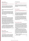### **She is a friend**

#### **She prays for her friends**

#### Just as Jesus prayed for his friends, the believing woman also prays for her friends:

"Simon, Simon! Listen! Satan has received permission to test all of you, to separate the good from the bad, as a farmer separates the wheat from the chaff. But I have prayed for you, Simon, that your faith will not fail."

[Luke 22:31-32a](http://www.bibles.co.za/search/search-detail.php?prev=-32&book=LUK&chapter=22&version=6&GO=Show)

#### **She shares the bitter and the sweet of life with her friends**

"Or suppose a woman who has ten silver coins loses one of them—what does she do? She lights a lamp, sweeps her house, and looks carefully everywhere until she finds it. When she finds it, she calls her friends and neighbours together, and says to them, 'I am so happy I found the coin I lost. Let us celebrate!' "

[Luke 15:8-9](http://www.bibles.co.za/search/search-detail.php?prev=-33&book=LUK&chapter=15&version=6&GO=Show)

#### **She gives good advice**

Naaman, the commander of the Syrian army, was highly respected and esteemed by the king of Syria, because through Naaman the Lorp had given victory to the Syrian forces. He was a great soldier, but he suffered from a dreaded skin-disease. In one of their raids against Israel, the Syrians had carried off a little Israelite girl, who became a servant of Naaman's wife. One day she said to her mistress, "I wish that my master could go to the prophet who lives in Samaria! He would cure him of his disease." When Naaman heard of this, he went to the king and told him what the girl had said. The king said, "Go to the king of Israel and take this letter to him."

So Naaman went down to the Jordan, dipped himself in it seven times, as Elisha had instructed, and he was completely cured. His flesh became firm and healthy, like that of a child. He returned to Elisha with all his men and said, "Now I know that there is no god but the God of Israel; so please, sir, accept a gift from me."

[2 Kings 5:1-5a,14-15](http://www.bibles.co.za/search/search-detail.php?prev=-34&book=2KI&chapter=5&version=6&GO=Show)

#### **She is a widow**

#### **She finds it hard to be alone**

Naomi's life seemed empty after the death of her husband and sons:

"Don't call me Naomi," she answered; "call me Marah, because Almighty God has made my life bitter. When I left here, I had plenty, but the Lorp has brought me back without a thing. Why call me Naomi when the LORD Almighty has condemned me and sent me trouble?"

[Ruth 1:20-21](http://www.bibles.co.za/search/search-detail.php?prev=-35&book=RUT&chapter=1&version=6&GO=Show)

#### **She matters to God**

It is important to God that believers should take care of widows:

What God the Father considers to be pure and genuine religion is this: to take care of orphans and widows in their suffering and to keep oneself from being corrupted by the world.

[James 1:27](http://www.bibles.co.za/search/search-detail.php?prev=-36&book=JAS&chapter=1&version=6&GO=Show)

#### **She is divorced**

Although different things separate people from one another, there is nothing that can separate us from God's love:

Who will accuse God's chosen people? God himself declares them not guilty! Who, then, will condemn them? Not Christ Jesus, who died, or rather, who was raised to life and is at the right-hand side of God, pleading with him for us! Who, then, can separate us from the love of Christ?

For I am certain that nothing can separate us from his love: neither death nor life, neither angels nor other heavenly rulers or powers, neither the present nor the future, neither the world above nor the world below there is nothing in all creation that will ever be able to separate us from the love of God which is ours through Christ Jesus our Lord.

[Romans 8:33-35a,38-39](http://www.bibles.co.za/search/search-detail.php?prev=-37&book=ROM&chapter=8&version=6&GO=Show)

#### **She is the other woman**

The teachers of the Law and the Pharisees brought in a woman who had been caught committing adultery, and they made her stand before them all. "Teacher," they said to Jesus, "this woman was caught in the very act of committing adultery. In our Law Moses commanded that such a woman must be stoned to death. Now, what do you say?" They said this to trap Jesus, so that they could accuse him. But he bent over and wrote on the ground with his finger.

As they stood there asking him questions, he straightened himself up and said to them, "Whichever one of you has committed no sin may throw the first stone at her." Then he bent over again and wrote on the ground. When they heard this, they all left, one by one, the older ones first. Jesus was left alone, with the woman still standing there. He straightened himself up and said to her, "Where are they? Is there no one left to condemn you?"

"No one, sir," she answered.

"Well, then," Jesus said, "I do not condemn you either. Go, but do not sin again."

[John 8:3-11](http://www.bibles.co.za/search/search-detail.php?prev=-38&book=JHN&chapter=8&version=6&GO=Show)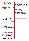# *She Lives in Relationship with Herself*

**Every day she lives with herself on both the spiritual and the physical levels. She realises that God is concerned about her total personhood.**

**And you discover: I am she!**

### **She realises that she has been made to be like God**

So God created human beings, making them to be like himself. He created them male and female.

[Genesis 1:27](http://www.bibles.co.za/search/search-detail.php?prev=-39&book=GEN&chapter=1&version=6&GO=Show)

## **She looks after her body**

Don't you know that your body is the temple of the Holy Spirit, who lives in you and who was given to you by God? You do not belong to yourselves but to God; he bought you for a price. So use your bodies for God's glory.

[1 Corinthians 6:19-20](http://www.bibles.co.za/search/search-detail.php?prev=-40&book=1CO&chapter=6&version=6&GO=Show)

#### **She respects herself, she is not a showpiece**

On the seventh day of his banquet the king was drinking and feeling merry, so he called in the seven eunuchs who were his personal servants, Mehuman, Biztha, Harbona, Bigtha, Abagtha, Zethar, and Carkas. He ordered them to bring in Queen Vashti, wearing her royal crown. The queen was a beautiful woman, and the king wanted to show off her beauty to the officials and all his guests. But when the servants told Queen Vashti of the king's command, she refused to come.

[Esther 1:10-12a](http://www.bibles.co.za/search/search-detail.php?prev=-41&book=EST&chapter=1&version=6&GO=Show)

### **She knows that her true inner self is more important than her appearance**

You should not use outward aids to make yourselves beautiful, such as the way you do your hair, or the jewellery you put on, or the dresses you wear. Instead, your beauty should consist of your true inner self, the ageless beauty of a gentle and quiet spirit, which is of the greatest value in God's sight. For the devout women of the past who placed their hope in God used to make themselves beautiful by submitting to their husbands.

### **She knows God has a special purpose for her as a single person**

An unmarried woman or a virgin concerns herself with the Lord's work, because she wants to be dedicated both in body and spirit; but a married woman concerns herself with worldly matters, because she wants to please her husband.

[1 Corinthians 7:34b](http://www.bibles.co.za/search/search-detail.php?prev=-43&book=1CO&chapter=7&version=6&GO=Show)

# **She knows God has a special purpose for her as an older woman**

In the same way instruct the older women to behave as women should who live a holy life. They must not be slanderers or slaves to wine. They must teach what is good, in order to train the younger women to love their husbands and children, to be self-controlled and pure, and to be good housewives who submit to their husbands, so that no one will speak evil of the message that comes from God.

Titus  $2:3-5$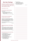# *She Has Feelings*

**Her emotions are an integral part of her womanhood. She experiences intensely the joys of life. But at times she also experiences negative emotions such as sadness, despondency, or inferiority.**

#### **And you discover: I am she!**

#### **She experiences emotions intensely**

Hannah prayed:

"The Lord has filled my heart with joy; how happy I am because of what he has done! I laugh at my enemies; how joyful I am because God has helped me!"

[1 Samuel 2:1](http://www.bibles.co.za/search/search-detail.php?prev=-45&book=1SA&chapter=2&version=6&GO=Show)

#### **She feels heartsore and despondent**

#### In the Bible, Hannah is such a woman:

Peninnah, her rival, would torment and humiliate her, because the Lorp had kept her childless. This went on year after year; whenever they went to the house of the LORD, Peninnah would upset Hannah so much that she would cry and refuse to eat anything.

She was deeply distressed, and she cried bitterly as she prayed to the LORD.

[1 Samuel 1:6-7,10](http://www.bibles.co.za/search/search-detail.php?prev=-46&book=1SA&chapter=1&version=6&GO=Show)

## **She feels bitter because of what happens to her**

"Don't call me Naomi," she answered; "call me Marah, because Almighty God has made my life bitter. When I left here, I had plenty, but the Lord has brought me back without a thing. Why call me Naomi when the LORD Almighty has condemned me and sent me trouble?"

[Ruth 1:20-21](http://www.bibles.co.za/search/search-detail.php?prev=-47&book=RUT&chapter=1&version=6&GO=Show)

# **She realises that she need not feel inferior**

You created every part of me; you put me together in my mother's womb. I praise you because you are to be feared; all you do is strange and wonderful. I know it with all my heart. When my bones were being formed, carefully put together in my mother's womb, when I was growing there in secret, you knew that I was there you saw me before I was born.

The days allotted to me had all been recorded in your book, before any of them ever began.

O God, how difficult I find your thoughts; how many of them there are!

[Psalm 139:13-17](http://www.bibles.co.za/search/search-detail.php?prev=-48&book=PSA&chapter=139&version=6&GO=Show)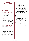# *She is a Working Woman*

**She is a woman who bears many responsibilities. She has to see to it that the household runs smoothly, that her husband and children are happy and have been well attended to, and then she also wants to build her career.**

**And you discover: I am she!**

# **She recognises that work is a privilege**

The best thing anyone can do is to eat and drink and enjoy what he has earned. And yet, I realised that even this comes from God. How else could you have anything to eat or enjoy yourself at all?

[Ecclesiastes 2:24-25](http://www.bibles.co.za/search/search-detail.php?prev=-49&book=ECC&chapter=4&version=6&GO=Show)

# **She serves the Lord in spite of pressure at work**

Then the king of Egypt spoke to Shiphrah and Puah, the two midwives who helped the Hebrew women. "When you help the Hebrew women give birth," he said to them, "kill the baby if it is a boy; but if it is a girl, let it live." But the midwives feared God and so did not obey the king; instead, they let the boys live.

[Exodus 1:15-17](http://www.bibles.co.za/search/search-detail.php?prev=-51&book=EXO&chapter=1&version=6&GO=Show)

# **She tries to use her time appropriately**

Everything that happens in this world happens at the time God chooses.

[Ecclesiastes 3:1](http://www.bibles.co.za/search/search-detail.php?prev=-50&book=ECC&chapter=3&version=6&GO=Show)

# **She is a believing businesswoman**

On the Sabbath we went out of the city to the river-side, where we thought there would be a place where Jews gathered for prayer. We sat down and talked to the women who gathered there. One of those who heard us was Lydia from Thyatira, who was a dealer in purple cloth. She was a woman who worshipped God, and the Lord opened her mind to pay attention to what Paul was saying. After she and the people of her house had been baptised, she invited us, "Come and stay in my house if you have decided that I am a true believer in the Lord." And she persuaded us to go. [Acts 16:13-15](http://www.bibles.co.za/search/search-detail.php?prev=-52&book=ACT&chapter=16&version=6&GO=Show)

# **She is highly capable**

How hard it is to find a capable wife! She is worth far more than iewels!

Her husband puts his confidence in her, and he will never be poor.

As long as she lives, she does him good and never harm.

She keeps herself busy making wool and linen cloth.

She brings home food from out-of-the-way places, as merchant ships do.

She gets up before daylight to prepare food for her family and to tell her servant-women what to do.

She looks at land and buys it, and with money she has earned she plants a vineyard.

She is a hard worker, strong and industrious.

She knows the value of everything she makes, and works late into the night.

She spins her own thread and weaves her own cloth. She is generous to the poor and needy.

She doesn't worry when it snows, because her family has warm clothing.

She makes bedspreads and wears clothes of fine purple linen.

Her husband is well known, one of the leading citizens.

She makes clothes and belts, and sells them to merchants.

She is strong and respected and not afraid of the future.

She speaks with a gentle wisdom.

She is always busy and looks after her family's needs.

Her children show their appreciation, and her husband praises her.

He says, "Many women are good wives, but you are the best of them all."

Charm is deceptive and beauty disappears, but a woman who honours the Lord should be praised.

Give her credit for all she does. She deserves the respect of everyone.

[Proverbs 31:10-31](http://www.bibles.co.za/search/search-detail.php?prev=-53&book=PRO&chapter=31&version=6&GO=Show)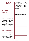# *She Makes a Difference*

**She is a woman who wants to make a contribution at home and in society. She is not afraid to take risks she gives a voice to women in society, in order to make the world a better place. She has discovered God's calling for her and lives her life to the full.**

**And you discover: I am she!**

#### **She works for peace**

Happy are those who work for peace; God will call them his children!

Matthew<sub>5:9</sub>

## **She stands up for what is right**

Mahlah, Noah, Hoglah, Milcah, and Tirzah were the daughters of Zelophehad son of Hepher, son of Gilead, son of Machir, son of Manasseh, son of Joseph. They went and stood before Moses, Eleazar the priest, the leaders, and the whole community at the entrance of the Tent of the LORD's presence and said, "Our father died in the wilderness without leaving any sons. He was not among the followers of Korah, who rebelled against the LORD; he died because of his own sin. Just because he had no sons, why should our father's name disappear from Israel? Give us property among our father's relatives."

Moses presented their case to the Lorp, and the Lorp said to him, "What the daughters of Zelophehad request is right; give them property among their father's relatives. Let his inheritance pass on to them."

[Numbers 27:1-7](http://www.bibles.co.za/search/search-detail.php?prev=-55&book=NUM&chapter=27&version=6&GO=Show)

# **She does the right thing at the right time**

Queen Esther was requested by Mordecai—her guardian—to beg the king for mercy on behalf of her people. Mordecai had got wind of a conspiracy to wipe out the Jews living in the Persian Empire. Although, initially, Esther wavered, she finally agreed to do the right thing. She sent word to Mordecai:

"If anyone, man or woman, goes to the inner courtyard and sees the king without being summoned, that person must die. That is the law; everyone, from the king's advisers to the people in the provinces, knows that. There is only one way to get round this law: if the king holds out his gold sceptre to someone, then that person's life is spared. But it has been a month since the king sent for me."

When Mordecai received Esther's message, he sent her this warning: "Don't imagine that you are safer than

any other Jew just because you are in the royal palace. If you keep quiet at a time like this, help will come from heaven to the Jews, and they will be saved, but you will die and your father's family will come to an end. Yet who knows—maybe it was for a time like this that you were made queen!"

Esther sent Mordecai this reply: "Go and gather all the Jews in Susa together; hold a fast and pray for me. Don't eat or drink anything for three days and nights. My young women and I will be doing the same. After that, I will go to the king, even though it is against the law. If I must die for doing it, I will die."

[Esther 4:11-16](http://www.bibles.co.za/search/search-detail.php?prev=-56&book=EST&chapter=4&version=6&GO=Show)

#### **She strives for harmony**

Euodia and Syntyche, please, I beg you, try to agree as sisters in the Lord. And you too, my faithful partner, I want you to help these women; for they have worked hard with me to spread the gospel, together with Clement and all my other fellow-workers, whose names are in God's book of the living.

[Philippians 4:2-3](http://www.bibles.co.za/search/search-detail.php?prev=-57&book=PHP&chapter=4&version=6&GO=Show)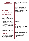# *She is a Spiritual Leader*

**She is willing, if it is required of her, to take the spiritual lead. She is not necessarily a minister, but she listens when God calls her to testify, to help those in spiritual need, and to lead people back to Him. She listens to God and she does her part for the church.**

**And you discover: I am she!**

# **She is willing to step forward when the Lord calls her**

Because of their disobedience, the Lord had let the Israelites be conquered by Jabin king of Canaan:

Then the people of Israel cried out to the Lord for help. Now Deborah, the wife of Lappidoth, was a prophet, and she was serving as a judge for the Israelites at that time. She used to sit under a certain palmtree between Ramah and Bethel in the hill-country of Ephraim, and the people of Israel would go there for her decisions. One day she sent for Barak son of Abinoam from the city of Kedesh in Naphtali and said to him, "The Lorp, the God of Israel, has given you this command: 'Take ten thousand men from the tribes of Naphtali and Zebulun and lead them to Mount Tabor. I will bring Sisera, the commander of Jabin's army, to fight against you at the River Kishon. He will have his chariots and soldiers, but I will give you victory over him.' "

Then Barak replied, "I will go if you go with me, but if you don't go with me, I won't go either."

She answered, "All right, I will go with you, but you won't get any credit for the victory, because the Lorp will hand Sisera over to a woman."

[Judges 4:3b-9a](http://www.bibles.co.za/search/search-detail.php?prev=-58&book=JDG&chapter=4&version=6&GO=Show)

# **She is a woman of character**

Their wives also must be of good character and must not gossip; they must be sober and honest in everything.

[1 Timothy 3:11](http://www.bibles.co.za/search/search-detail.php?prev=-59&book=1TI&chapter=3&version=6&GO=Show)

# **She uses her gifts**

We have many parts in the one body, and all these parts have different functions. In the same way, though we are many, we are one body in union with Christ, and we are all joined to each other as different parts of one body. So we are to use our different gifts in accordance with the grace that God has given us. If our gift is to speak God's message, we should do it according to the faith that we have; if it is to serve, we should serve; if it is to teach, we should teach; if

it is to encourage others, we should do so. Whoever shares with others should do it generously; whoever has authority should work hard; whoever shows kindness to others should do it cheerfully.

[Romans 12:4-8](http://www.bibles.co.za/search/search-detail.php?prev=-60&book=ROM&chapter=12&version=6&GO=Show)

#### **She is a servant-leader**

So Jesus called them all together and said, "You know that the rulers of the heathen have power over them, and the leaders have complete authority. This, however, is not the way it shall be among you. If one of you wants to be great, he must be the servant of the rest; and if one of you wants to be first, he must be your slave—like the Son of Man, who did not come to be served, but to serve and to give his life to redeem many people."

[Matthew 20:25-28](http://www.bibles.co.za/search/search-detail.php?prev=-61&book=MAT&chapter=20&version=6&GO=Show)

#### **She is a gentle leader**

She speaks with a gentle wisdom.

[Proverbs 31:26](http://www.bibles.co.za/search/search-detail.php?prev=-62&book=PRO&chapter=31&version=6&GO=Show)

## **She corrects those who have lost the way**

My brothers and sisters, if any of you wander away from the truth and another one brings them back again, remember this: whoever turns a sinner back from his or her wrong way will save that sinner's soul from death and bring about the forgiveness of many sins.

[James 5:19-20](http://www.bibles.co.za/search/search-detail.php?prev=-63&book=JAS&chapter=5&version=6&GO=Show)

# **She tells everyone that Jesus is the risen Lord**

Suddenly Jesus met [the women] and said, "Peace be with you." They came up to him, took hold of his feet, and worshipped him. "Do not be afraid," Jesus said to them. "Go and tell my brothers to go to Galilee, and there they will see me."

[Matthew 28:9-10](http://www.bibles.co.za/search/search-detail.php?prev=-64&book=MAT&chapter=28&version=6&GO=Show)

# **She follows the Lord to the end**

The army officer who was standing there in front of the cross saw how Jesus had died. "This man was really the Son of God!" he said.

Some women were there, looking on from a distance. Among them were Mary Magdalene, Mary the mother of the younger James and of Joseph, and Salome. They had followed Jesus while he was in Galilee and had helped him. Many other women who had come to Jerusalem with him were there also.

[Mark 15:39-41](http://www.bibles.co.za/search/search-detail.php?prev=-65&book=MRK&chapter=15&version=6&GO=Show)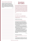# **She leaves behind a spiritual heritage**

I give thanks to God, whom I serve with a clear conscience, as my ancestors did. I thank him as I remember you always in my prayers night and day. I remember your tears, and I want to see you very much, so that I may be filled with joy. I remember the sincere faith you have, the kind of faith that your grandmother Lois and your mother Eunice also had. I am sure that you have it also.

[2 Timothy 1:3-5](http://www.bibles.co.za/search/search-detail.php?prev=-66&book=2TI&chapter=1&version=6&GO=Show)

# *Sometimes She Suffers*

**She notices that things do not always go quite the way that she would like. Sometimes she gets terribly hurt when others step on her, abuse her, or when things simply do not work out as she had hoped. Sometimes she battles to let go of things in her past, but at other times, she manages to talk to God about her suffering and to confront her pain. Then she discovers that she can start anew, in spite of all that happened in her past.**

**And you discover: I am she!**

# **She suffers from an incurable disease**

So many women today are battling with diseases such as HIV/AIDS and cancer.

#### **She takes her pain to the Lord**

One day a great crowd was gathered round Jesus.

There was a woman who had suffered terribly from severe bleeding for twelve years, even though she had been treated by many doctors. She had spent all her money, but instead of getting better she got worse all the time. She had heard about Jesus, so she came in the crowd behind him, saying to herself, "If I just touch his clothes, I will get well."

She touched his cloak, and her bleeding stopped at once; and she had the feeling inside herself that she was healed of her trouble. At once Jesus knew that power had gone out of him, so he turned round in the crowd and asked, "Who touched my clothes?"

His disciples answered, "You see how the people are crowding you; why do you ask who touched you?"

But Jesus kept looking round to see who had done it. The woman realised what had happened to her, so she came, trembling with fear, knelt at his feet, and told him the whole truth. Jesus said to her, "My daughter, your faith has made you well. Go in peace, and be healed of your trouble."

[Mark 5:25-34](http://www.bibles.co.za/search/search-detail.php?prev=-67&book=MRK&chapter=5&version=6&GO=Show)

#### **She needs to be looked after**

As He taught about the final judgment, Jesus said to his disciples:

"Then the King will say to the people on his right, 'Come, you that are blessed by my Father! Come and possess the kingdom which has been prepared for you ever since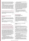the creation of the world. I was hungry and you fed me, thirsty and you gave me a drink; I was a stranger and you received me in your homes, naked and you clothed me; I was sick and you took care of me, in prison and you visited me.'

"The righteous will then answer him, 'When, Lord, did we ever see you hungry and feed you, or thirsty and give you a drink? When did we ever see you a stranger and welcome you in our homes, or naked and clothe you? When did we ever see you sick or in prison, and visit you?' The King will reply, 'I tell you, whenever you did this for one of the least important of these members of my family, you did it for me!'"

[Matthew 25:34-40](http://www.bibles.co.za/search/search-detail.php?prev=-68&book=MAT&chapter=25&version=6&GO=Show)

## **She feels desperate about her childlessness**

But Rachel had not borne Jacob any children, and so she became jealous of her sister and said to Jacob, "Give me children, or I will die."

[Genesis 30:1](http://www.bibles.co.za/search/search-detail.php?prev=-70&book=GEN&chapter=30&version=6&GO=Show)

# **She suffers because of her child's bad choices**

When Esau was forty years old, he married two Hittite women, Judith the daughter of Beeri, and Basemath the daughter of Elon. They made life miserable for Isaac and Rebecca.

Rebecca said to Isaac, "I am sick and tired of Esau's foreign wives. If Jacob also marries one of these Hittite women, I might as well die."

[Genesis 26:34-35; 27:46](http://www.bibles.co.za/search/search-detail.php?prev=-71&book=GEN&chapter=26&version=6&GO=Show)

# **She grapples with her unhappy past**

There is a great deal of personal pain in her past, whether as a result of her own choices or through the doings of others. She realises that freedom from her grappling can be found only with the Lord, but she feels too guilty to talk to Him about it. But then she discovers that, in his love, there is unconditional forgiveness and bright hope for a new future.

In that town was a woman who lived a sinful life. She heard that Jesus was eating in the Pharisee's house, so she brought an alabaster jar full of perfume and stood behind Jesus, by his feet, crying and wetting his feet with her tears. Then she dried his feet with her hair, kissed them, and poured the perfume on them. When the Pharisee saw this, he said to himself, "If this man really were a prophet, he would know who this woman is who is touching him; he would know what kind of sinful life she lives!"

Jesus spoke up and said to him, "Simon, I have something to tell you."

"Yes, Teacher," he said, "tell me."

"There were two men who owed money to a moneylender," Jesus began. "One owed him five hundred silver coins, and the other owed him fifty. Neither of them could pay him back, so he cancelled the debts of both. Which one, then, will love him more?"

"I suppose," answered Simon, "that it would be the one who was forgiven more."

"You are right," said Jesus. Then he turned to the woman and said to Simon, "Do you see this woman? I came into your home, and you gave me no water for my feet, but she has washed my feet with her tears and dried them with her hair. You did not welcome me with a kiss, but she has not stopped kissing my feet since I came. You provided no oliveoil for my head, but she has covered my feet with perfume. I tell you, then, the great love she has shown proves that her many sins have been forgiven. But whoever has been forgiven little shows only a little love."

Then Jesus said to the woman, "Your sins are forgiven."

The others sitting at the table began to say to themselves, "Who is this, who even forgives sins?"

But Jesus said to the woman, "Your faith has saved you; go in peace."

[Luke 7:37-50](http://www.bibles.co.za/search/search-detail.php?prev=-73&book=LUK&chapter=7&version=6&GO=Show)

#### **She has been raped**

**She need not feel guilty about it. It is he who did wrong.**

"Suppose a man out in the countryside rapes a woman who is engaged to someone else. Then only the man is to be put to death; nothing is to be done to the woman, because she has not committed a sin worthy of death. This case is the same as when one man attacks another man and murders him. The man raped the engaged woman in the countryside, and although she cried for help, there was no one to help her."

[Deuteronomy 22:25-27](http://www.bibles.co.za/search/search-detail.php?prev=-74&book=DEU&chapter=22&version=6&GO=Show)

#### **She mourns because her "no" was not taken seriously**

#### Then Amnon said to Tamar,

"Bring the cakes here to my bed and serve them to me yourself." She took the cakes and went over to him. As she offered them to him, he grabbed her and said, "Come to bed with me!"

"No," she said. "Don't force me to do such a degrading thing! That's awful! How could I ever hold up my head in public again? And you—you would be completely disgraced in Israel. Please, speak to the king, and I'm sure that he will give me to you." But he would not listen to her; and since he was stronger than she was, he overpowered her and raped her.

Then Amnon was filled with a deep hatred for her; he hated her now even more than he had loved her before. He said to her, "Get out!"

"No," she answered. "To send me away like this is a greater crime than what you just did!"

But Amnon would not listen to her; he called in his personal servant and said, "Get this woman out of my sight! Throw her out and lock the door!" The servant put her out and locked the door.

Tamar was wearing a long robe with full sleeves, the usual clothing for an unmarried princess in those days. She sprinkled ashes on her head, tore her robe, and with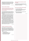her face buried in her hands went away crying. When her brother Absalom saw her, he asked, "Has Amnon molested you? Please, sister, don't let it upset you so much. He is your half-brother, so don't tell anyone about it." So Tamar lived in Absalom's house, sad and lonely.

[2 Samuel 13:10-20](http://www.bibles.co.za/search/search-detail.php?prev=-75&book=2SA&chapter=13&version=6&GO=Show)

### **She is the victim of violence**

Once there was a Levite who was on a journey with his concubine, and they had to spend the night in a strange town. A local resident offered to put them up for the night. That evening, while they were eating and drinking, a terrible thing happened:

They were enjoying themselves when all of a sudden some sexual perverts from the town surrounded the house and started beating on the door. They said to the old man, "Bring out that man that came home with you! We want to have sex with him!"

But the old man went outside and said to them, "No, my friends! Please! Don't do such an evil, immoral thing! This man is my guest. Look! Here is his concubine and my own daughter, who is a virgin. I'll bring them out now, and you can have them. Do with them whatever you want. But don't do such an awful thing to this man!" But the men would not listen to him. So the Levite took his concubine and put her outside with them. They raped her and abused her all night long and didn't stop until morning.

At dawn the woman came and fell down at the door of the old man's house, where her husband was. She was still there when daylight came. Her husband got up that morning, and when he opened the door to go on his way, he found his concubine lying in front of the house with her hands reaching for the door. He said, "Get up. Let's go." But there was no answer. So he put her body across the donkey and started on his way home.

[Judges 19:22-28](http://www.bibles.co.za/search/search-detail.php?prev=-76&book=JDG&chapter=19&version=6&GO=Show)

#### **She talks to God about her suffering**

Because Rebecca had no children, Isaac prayed to the Lorp for her. The Lorp answered his prayer, and Rebecca became pregnant. She was going to have twins, and before they were born, they struggled against each other in her womb. She said, "Why should something like this happen to me?" So she went to ask the Lord for an answer.

The Lorp said to her,

"Two nations are within you; You will give birth to two rival peoples. One will be stronger than the other; The older will serve the younger."

[Genesis 25:21-23](http://www.bibles.co.za/search/search-detail.php?prev=-77&book=GEN&chapter=25&version=6&GO=Show)

#### **She knows she can start anew, in spite of her past**

It was faith that kept the prostitute Rahab from being killed with those who disobeyed God, for she gave the Israelite spies a friendly welcome.

[Hebrews 11:31](http://www.bibles.co.za/search/search-detail.php?prev=-78&book=HEB&chapter=11&version=6&GO=Show)

#### **She knows that things will go well again**

LORD, make us prosperous again,

just as the rain brings water back to dry river-beds. Let those who wept as they sowed their seed, gather the harvest with joy!

Those who wept as they went out carrying the seed will come back singing for joy, as they bring in the harvest.

[Psalm 126:4-6](http://www.bibles.co.za/search/search-detail.php?prev=-79&book=PSA&chapter=126&version=6&GO=Show)